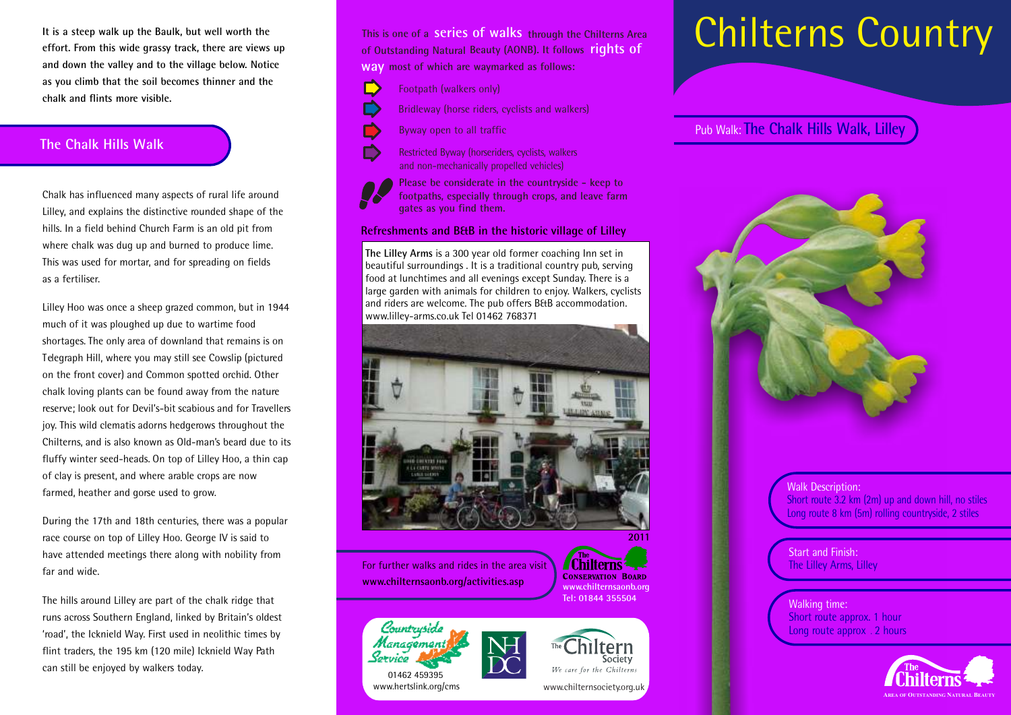**It is a steep walk up the Baulk, but well worth the effort. From this wide grassy track, there are views up and down the valley and to the village below. Notice as you climb that the soil becomes thinner and the chalk and flints more visible.**

### **The Chalk Hills Walk**

Chalk has influenced many aspects of rural life around Lilley, and explains the distinctive rounded shape of the hills. In a field behind Church Farm is an old pit from where chalk was dug up and burned to produce lime. This was used for mortar, and for spreading on fields as a fertiliser.

Lilley Hoo was once a sheep grazed common, but in 1944 much of it was ploughed up due to wartime food shortages. The only area of downland that remains is on Telegraph Hill, where you may still see Cowslip (pictured on the front cover) and Common spotted orchid. Other chalk loving plants can be found away from the nature reserve; look out for Devil's-bit scabious and for Travellers joy. This wild clematis adorns hedgerows throughout the Chilterns, and is also known as Old-man's beard due to its fluffy winter seed-heads. On top of Lilley Hoo, a thin cap of clay is present, and where arable crops are now farmed, heather and gorse used to grow.

During the 17th and 18th centuries, there was a popular race course on top of Lilley Hoo. George IV is said to have attended meetings there along with nobility from far and wide.

The hills around Lilley are part of the chalk ridge that runs across Southern England, linked by Britain's oldest 'road', the Icknield Way. First used in neolithic times by flint traders, the 195 km (120 mile) Icknield Way Path can still be enjoyed by walkers today.

**This is one of a series of walks through the Chilterns Area of Outstanding Natural Beauty (AONB). It follows rights of** 

**most of which are waymarked as follows: way**

- D Footpath (walkers only)
	- Bridleway (horse riders, cyclists and walkers)
	- Byway open to all traffic



Restricted Byway (horseriders, cyclists, walkers and non-mechanically propelled vehicles)

**Please be considerate in the countryside - keep to footpaths, especially through crops, and leave farm gates as you find them.**

#### **Refreshments and B&B in the historic village of Lilley**

**The Lilley Arms** is a 300 year old former coaching Inn set in beautiful surroundings . It is a traditional country pub, serving food at lunchtimes and all evenings except Sunday. There is a large garden with animals for children to enjoy. Walkers, cyclists and riders are welcome. The pub offers B&B accommodation. www.lilley-arms.co.uk Tel 01462 768371



For further walks and rides in the area visit **www.chilternsaonb.org/activities.asp** 



**2011**





www.chilternsociety.org.uk

## Short route 3.2 km (2m) up and down hill, no stiles Long route 8 km (5m) rolling countryside, 2 stiles

**Start and Finish:** The Lilley Arms, Lilley

Walk Description:

Walking time: Short route approx. 1 hour Long route approx . 2 hours



# Chilterns Country

Pub Walk: **The Chalk Hills Walk, Lilley**